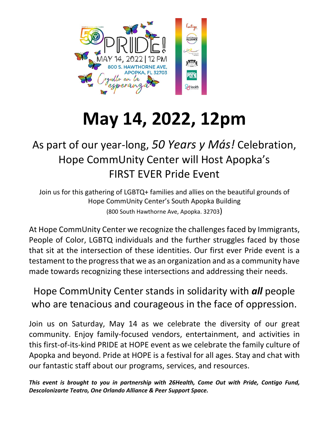

# **May 14, 2022, 12pm**

## As part of our year-long, *50 Years y Más!* Celebration, Hope CommUnity Center will Host Apopka's FIRST EVER Pride Event

Join us for this gathering of LGBTQ+ families and allies on the beautiful grounds of Hope CommUnity Center's South Apopka Building (800 South Hawthorne Ave, Apopka. 32703)

At Hope CommUnity Center we recognize the challenges faced by Immigrants, People of Color, LGBTQ individuals and the further struggles faced by those that sit at the intersection of these identities. Our first ever Pride event is a testament to the progress that we as an organization and as a community have made towards recognizing these intersections and addressing their needs.

Hope CommUnity Center stands in solidarity with *all* people who are tenacious and courageous in the face of oppression.

Join us on Saturday, May 14 as we celebrate the diversity of our great community. Enjoy family-focused vendors, entertainment, and activities in this first-of-its-kind PRIDE at HOPE event as we celebrate the family culture of Apopka and beyond. Pride at HOPE is a festival for all ages. Stay and chat with our fantastic staff about our programs, services, and resources.

*This event is brought to you in partnership with 26Health, Come Out with Pride, Contigo Fund, Descolonizarte Teatro, One Orlando Alliance & Peer Support Space.*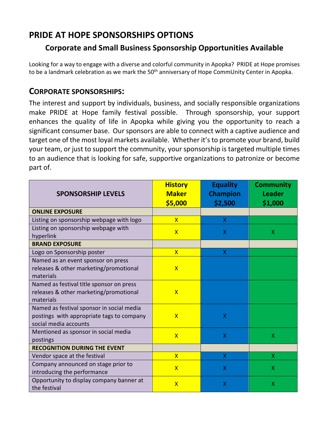### **PRIDE AT HOPE SPONSORSHIPS OPTIONS**

#### **Corporate and Small Business Sponsorship Opportunities Available**

Looking for a way to engage with a diverse and colorful community in Apopka? PRIDE at Hope promises to be a landmark celebration as we mark the 50<sup>th</sup> anniversary of Hope CommUnity Center in Apopka.

#### **CORPORATE SPONSORSHIPS:**

The interest and support by individuals, business, and socially responsible organizations make PRIDE at Hope family festival possible. Through sponsorship, your support enhances the quality of life in Apopka while giving you the opportunity to reach a significant consumer base. Our sponsors are able to connect with a captive audience and target one of the most loyal markets available. Whether it's to promote your brand, build your team, or just to support the community, your sponsorship is targeted multiple times to an audience that is looking for safe, supportive organizations to patronize or become part of.

| <b>SPONSORSHIP LEVELS</b>                                                                                       | <b>History</b><br><b>Maker</b><br>\$5,000 | <b>Equality</b><br><b>Champion</b><br>\$2,500 | <b>Community</b><br><b>Leader</b><br>\$1,000 |
|-----------------------------------------------------------------------------------------------------------------|-------------------------------------------|-----------------------------------------------|----------------------------------------------|
| <b>ONLINE EXPOSURE</b>                                                                                          |                                           |                                               |                                              |
| Listing on sponsorship webpage with logo                                                                        | $\overline{\mathsf{X}}$                   | X                                             |                                              |
| Listing on sponsorship webpage with<br>hyperlink                                                                | $\overline{\mathsf{X}}$                   | X                                             | X                                            |
| <b>BRAND EXPOSURE</b>                                                                                           |                                           |                                               |                                              |
| Logo on Sponsorship poster                                                                                      | $\overline{\mathsf{X}}$                   | X                                             |                                              |
| Named as an event sponsor on press<br>releases & other marketing/promotional<br>materials                       | $\overline{\mathsf{X}}$                   |                                               |                                              |
| Named as festival title sponsor on press<br>releases & other marketing/promotional<br>materials                 | $\overline{\mathsf{X}}$                   |                                               |                                              |
| Named as festival sponsor in social media<br>postings with appropriate tags to company<br>social media accounts | $\overline{\mathsf{x}}$                   | X                                             |                                              |
| Mentioned as sponsor in social media<br>postings                                                                | $\overline{\mathsf{X}}$                   | $\overline{X}$                                | $\overline{\mathsf{X}}$                      |
| <b>RECOGNITION DURING THE EVENT</b>                                                                             |                                           |                                               |                                              |
| Vendor space at the festival                                                                                    | $\overline{\mathsf{X}}$                   | X                                             | X                                            |
| Company announced on stage prior to<br>introducing the performance                                              | $\overline{\mathsf{x}}$                   | X                                             | X                                            |
| Opportunity to display company banner at<br>the festival                                                        | $\overline{\mathsf{X}}$                   | $\overline{X}$                                | X                                            |